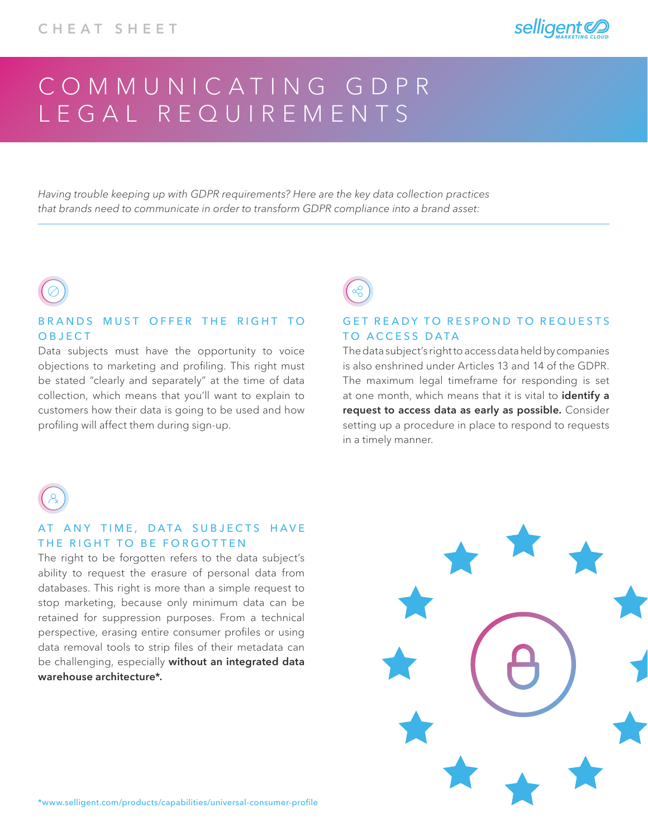

# COMMUNICATING GDPR LEGAL REQUIREMENTS

*Having trouble keeping up with GDPR requirements? Here are the key data collection practices that brands need to communicate in order to transform GDPR compliance into a brand asset:*

### BRANDS MUST OFFER THE RIGHT TO OBJECT

Data subjects must have the opportunity to voice objections to marketing and profiling. This right must be stated "clearly and separately" at the time of data collection, which means that you'll want to explain to customers how their data is going to be used and how profiling will affect them during sign-up.

# GET READY TO RESPOND TO REQUESTS TO ACCESS DATA

The data subject's right to access data held by companies is also enshrined under Articles 13 and 14 of the GDPR. The maximum legal timeframe for responding is set at one month, which means that it is vital to identify a request to access data as early as possible. Consider setting up a procedure in place to respond to requests in a timely manner.



# AT ANY TIME, DATA SUBJECTS HAVE THE RIGHT TO BE FORGOTTEN

The right to be forgotten refers to the data subject's ability to request the erasure of personal data from databases. This right is more than a simple request to stop marketing, because only minimum data can be retained for suppression purposes. From a technical perspective, erasing entire consumer profiles or using data removal tools to strip files of their metadata can be challenging, especially without an integrated data warehouse architecture\*.